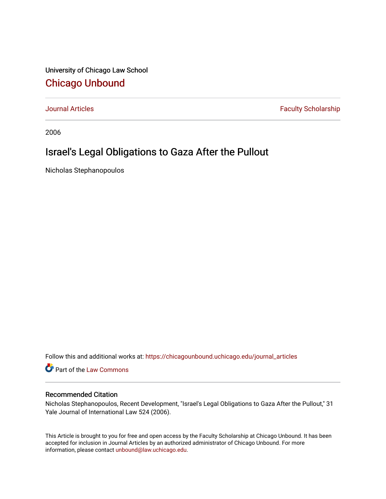University of Chicago Law School [Chicago Unbound](https://chicagounbound.uchicago.edu/)

[Journal Articles](https://chicagounbound.uchicago.edu/journal_articles) **Faculty Scholarship Faculty Scholarship** 

2006

## Israel's Legal Obligations to Gaza After the Pullout

Nicholas Stephanopoulos

Follow this and additional works at: [https://chicagounbound.uchicago.edu/journal\\_articles](https://chicagounbound.uchicago.edu/journal_articles?utm_source=chicagounbound.uchicago.edu%2Fjournal_articles%2F332&utm_medium=PDF&utm_campaign=PDFCoverPages) 

Part of the [Law Commons](http://network.bepress.com/hgg/discipline/578?utm_source=chicagounbound.uchicago.edu%2Fjournal_articles%2F332&utm_medium=PDF&utm_campaign=PDFCoverPages)

## Recommended Citation

Nicholas Stephanopoulos, Recent Development, "Israel's Legal Obligations to Gaza After the Pullout," 31 Yale Journal of International Law 524 (2006).

This Article is brought to you for free and open access by the Faculty Scholarship at Chicago Unbound. It has been accepted for inclusion in Journal Articles by an authorized administrator of Chicago Unbound. For more information, please contact [unbound@law.uchicago.edu](mailto:unbound@law.uchicago.edu).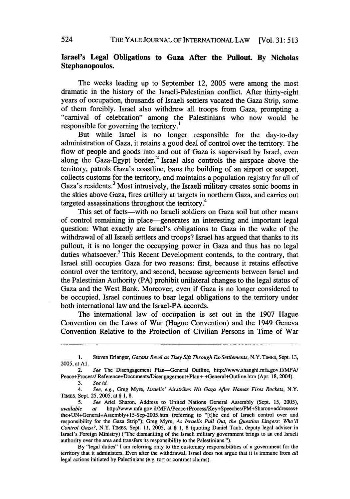## **Israel's Legal Obligations to Gaza After the Pullout. By Nicholas Stephanopoulos.**

The weeks leading up to September 12, 2005 were among the most dramatic in the history of the Israeli-Palestinian conflict. After thirty-eight years of occupation, thousands of Israeli settlers vacated the Gaza Strip, some of them forcibly. Israel also withdrew all troops from Gaza, prompting a "carnival of celebration" among the Palestinians who now would be responsible for governing the territory.<sup>1</sup>

But while Israel is no longer responsible for the day-to-day administration of Gaza, it retains a good deal of control over the territory. The flow of people and goods into and out of Gaza is supervised by Israel, even along the Gaza-Egypt border.<sup>2</sup> Israel also controls the airspace above the territory, patrols Gaza's coastline, bans the building of an airport or seaport, collects customs for the territory, and maintains a population registry for all of Gaza's residents.<sup>3</sup> Most intrusively, the Israeli military creates sonic booms in the skies above Gaza, fires artillery at targets in northern Gaza, and carries out targeted assassinations throughout the territory.<sup>4</sup>

This set of facts-with no Israeli soldiers on Gaza soil but other means of control remaining in place-generates an interesting and important legal question: What exactly are Israel's obligations to Gaza in the wake of the withdrawal of all Israeli settlers and troops? Israel has argued that thanks to its pullout, it is no longer the occupying power in Gaza and thus has no legal duties whatsoever.<sup>5</sup> This Recent Development contends, to the contrary, that Israel still occupies Gaza for two reasons: first, because it retains effective control over the territory, and second, because agreements between Israel and the Palestinian Authority (PA) prohibit unilateral changes to the legal status of Gaza and the West Bank. Moreover, even if Gaza is no longer considered to be occupied, Israel continues to bear legal obligations to the territory under both international law and the Israel-PA accords.

The international law of occupation is set out in the 1907 Hague Convention on the Laws of War (Hague Convention) and the 1949 Geneva Convention Relative to the Protection of Civilian Persons in Time of War

<sup>1.</sup> Steven Erlanger, *Gazans Revel as They Sift Through Ex-Settlements,* N.Y. **TIMES,** Sept. 13, 2005, at **Al.**

<sup>2.</sup> *See* The Disengagement Plan-General Outline, http://www.shanghi.mfa.gov.il/MFA/ Peace+Process/Reference+Documents/Disengagement+Plan+-+General+Outline.htm (Apr. 18, 2004).

<sup>3.</sup> *See id.*

*<sup>4.</sup> See, e.g.,* Greg Myre, *Israelis' Airstrikes Hit Gaza After Hamas Fires Rockets,* N.Y. TwEs, Sept. 25, 2005, at § 1, 8.

<sup>5.</sup> *See* Ariel Sharon, Address to United Nations General Assembly (Sept. 15, 2005), *available at* http://www.mfa.gov.il/MFA/Peace+Process/Key+Speeches/PM+Sharon+addresses+ the+UN+General+Assembly+15-Sep-2005.htm (referring to "[tihe end of Israeli control over and responsibility for the Gaza Strip"); Greg Myre, *As Israelis Pull Out, the Question Lingers: Who'll Control Gaza?,* N.Y. TIMES, Sept. 11, 2005, at § 1, 8 (quoting Daniel Taub, deputy legal adviser in Israel's Foreign Ministry) ("The dismantling of the Israeli military government brings to an end Israeli authority over the area and transfers its responsibility to the Palestinians.").

By "legal duties" I am referring only to the customary responsibilities of a government for the territory that it administers. Even after the withdrawal, Israel does not argue that it is immune from *all* legal actions initiated by Palestinians (e.g. tort or contract claims).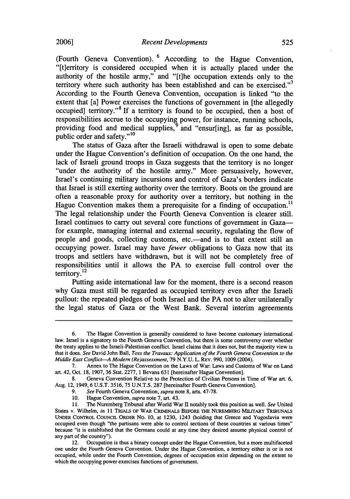(Fourth Geneva Convention). **6** According to the Hague Convention, "[tierritory is considered occupied when it is actually placed under the authority of the hostile army," and "[t]he occupation extends only to the territory where such authority has been established and can be exercised."<sup>7</sup> According to the Fourth Geneva Convention, occupation is linked "to the extent that [a] Power exercises the functions of government in [the allegedly occupied] territory."<sup>8</sup> If a territory is found to be occupied, then a host of responsibilities accrue to the occupying power, for instance, running schools, providing food and medical supplies,<sup>9</sup> and "ensur[ing], as far as possible, public order and safety."<sup>10</sup>

The status of Gaza after the Israeli withdrawal is open to some debate under the Hague Convention's definition of occupation. On the one hand, the lack of Israeli ground troops in Gaza suggests that the territory is no longer "under the authority of the hostile army." More persuasively, however, Israel's continuing military incursions and control of Gaza's borders indicate that Israel is still exerting authority over the territory. Boots on the ground are often a reasonable proxy for authority over a territory, but nothing in the Hague Convention makes them a prerequisite for a finding of occupation.<sup>11</sup> The legal relationship under the Fourth Geneva Convention is clearer still. Israel continues to carry out several core functions of government in Gazafor example, managing internal and external security, regulating the flow of people and goods, collecting customs, etc.—and is to that extent still an occupying power. Israel may have *fewer* obligations to Gaza now that its troops and settlers have withdrawn, but it will not be completely free of responsibilities until it allows the PA to exercise full control over the territory.<sup>12</sup>

Putting aside international law for the moment, there is a second reason why Gaza must still be regarded as occupied territory even after the Israeli pullout: the repeated pledges of both Israel and the PA not to alter unilaterally the legal status of Gaza or the West Bank. Several interim agreements

<sup>6.</sup> The Hague Convention is generally considered to have become customary international law. Israel is a signatory to the Fourth Geneva Convention, but there is some controversy over whether the treaty applies to the Israeli-Palestinian conflict. Israel claims that it does not, but the majority view is that it does. *See* David John Ball, *Toss the Travaux: Application of the Fourth Geneva Convention to the Middle East Conflict-A Modem (Re)assessment,* 79 N.Y.U. L. REV. 990, 1009 (2004).

<sup>7.</sup> Annex to The Hague Convention on the Laws of War: Laws and Customs of War on Land art. 42, Oct. 18, 1907, 36 Stat. 2277, 1 Bevans 631 [hereinafter Hague Convention].

<sup>8.</sup> Geneva Convention Relative to the Protection of Civilian Persons in Time of War art. 6, Aug. 12, 1949, 6 U.S.T. 3516, 75 U.N.T.S. 287 [hereinafter Fourth Geneva Convention].

<sup>9.</sup> *See* Fourth Geneva Convention, *supra* note 8, arts. 47-78.

<sup>10.</sup> Hague Convention, *supra* note 7, art. 43.

<sup>11.</sup> The Nuremberg Tribunal after World War II notably took this position as well. *See* United States v. Wilhelm, *in* 11 TRIALS OF WAR CRIMINALs BEFORE **THE** NUREMBERG MILITARY **TRIBUNALS** UNDER CONTROL COUNCIL ORDER No. 10, at 1230, 1243 (holding that Greece and Yugoslavia were occupied even though "the partisans were able to control sections of these countries at various times" because "it is established that the Germans could at any time they desired assume physical control of any part of the country").

<sup>12.</sup> Occupation is thus a binary concept under the Hague Convention, but a more multifaceted one under the Fourth Geneva Convention. Under the Hague Convention, a territory either is or is not occupied, while under the Fourth Convention, degrees of occupation exist depending on the extent to which the occupying power exercises functions of government.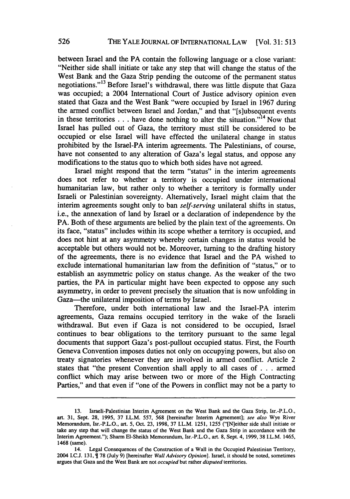between Israel and the PA contain the following language or a close variant: "Neither side shall initiate or take any step that will change the status of the West Bank and the Gaza Strip pending the outcome of the permanent status negotiations."<sup>13</sup> Before Israel's withdrawal, there was little dispute that Gaza was occupied; a 2004 International Court of Justice advisory opinion even stated that Gaza and the West Bank "were occupied by Israel in 1967 during the armed conflict between Israel and Jordan," and that "[s]ubsequent events in these territories  $\ldots$  have done nothing to alter the situation.<sup> $n^{14}$ </sup> Now that Israel has pulled out of Gaza, the territory must still be considered to be occupied or else Israel will have effected the unilateral change in status prohibited by the Israel-PA interim agreements. The Palestinians, of course, have not consented to any alteration of Gaza's legal status, and oppose any modifications to the status quo to which both sides have not agreed.

Israel might respond that the term "status" in the interim agreements does not refer to whether a territory is occupied under international humanitarian law, but rather only to whether a territory is formally under Israeli or Palestinian sovereignty. Alternatively, Israel might claim that the interim agreements sought only to ban *self-serving* unilateral shifts in status, i.e., the annexation of land by Israel or a declaration of independence by the PA. Both of these arguments are belied by the plain text of the agreements. On its face, "status" includes within its scope whether a territory is occupied, and does not hint at any asymmetry whereby certain changes in status would be acceptable but others would not be. Moreover, turning to the drafting history of the agreements, there is no evidence that Israel and the PA wished to exclude international humanitarian law from the definition of "status," or to establish an asymmetric policy on status change. As the weaker of the two parties, the PA in particular might have been expected to oppose any such asymmetry, in order to prevent precisely the situation that is now unfolding in Gaza-the unilateral imposition of terms by Israel.

Therefore, under both international law and the Israel-PA interim agreements, Gaza remains occupied territory in the wake of the Israeli withdrawal. But even if Gaza is not considered to be occupied, Israel continues to bear obligations to the territory pursuant to the same legal documents that support Gaza's post-pullout occupied status. First, the Fourth Geneva Convention imposes duties not only on occupying powers, but also on treaty signatories whenever they are involved in armed conflict. Article 2 states that "the present Convention shall apply to all cases of **. .** .armed conflict which may arise between two or more of the High Contracting Parties," and that even if "one of the Powers in conflict may not be a party to

<sup>13.</sup> Israeli-Palestinian Interim Agreement on the West Bank and the Gaza Strip, lsr.-P.L.O., art. 31, Sept. 28, 1995, 37 I.L.M. 557, 568 [hereinafter Interim Agreement]; *see also* Wye River Memorandum, Isr.-P.L.O., art. **5,** Oct. **23,** 1998, 37 LL.M. 1251, 1255 ("[N]either side shall initiate or take any step that will change the status of the West Bank and the Gaza Strip in accordance with the Interim Agreement."); Sharm EI-Sheikh Memorandum, Isr.-P.L.O., art. 8, Sept. 4, 1999, 38 I.L.M. 1465, 1468 (same).

<sup>14.</sup> Legal Consequences of the Construction of a Wall in the Occupied Palestinian Territory, 2004 I.C.J. 131, **1** 78 (July 9) [hereinafter *Wall Advisory Opinion].* Israel, it should be noted, sometimes argues that Gaza and the West Bank are not *occupied* but rather *disputed* territories.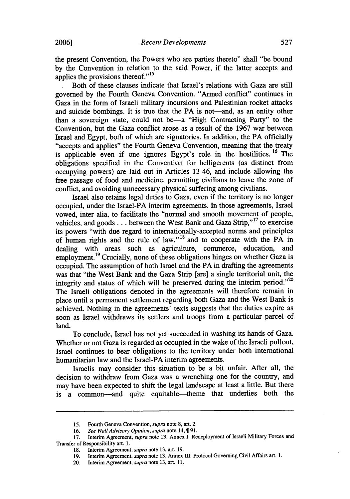the present Convention, the Powers who are parties thereto" shall "be bound by the Convention in relation to the said Power, if the latter accepts and applies the provisions thereof."15

Both of these clauses indicate that Israel's relations with Gaza are still governed by the Fourth Geneva Convention. "Armed conflict" continues in Gaza in the form of Israeli military incursions and Palestinian rocket attacks and suicide bombings. It is true that the PA is not—and, as an entity other than a sovereign state, could not be-a "High Contracting Party" to the Convention, but the Gaza conflict arose as a result of the 1967 war between Israel and Egypt, both of which are signatories. In addition, the PA officially "accepts and applies" the Fourth Geneva Convention, meaning that the treaty is applicable even if one ignores Egypt's role in the hostilities. **16** The obligations specified in the Convention for belligerents (as distinct from occupying powers) are laid out in Articles 13-46, and include allowing the free passage of food and medicine, permitting civilians to leave the zone of conflict, and avoiding unnecessary physical suffering among civilians.

Israel also retains legal duties to Gaza, even if the territory is no longer occupied, under the Israel-PA interim agreements. In those agreements, Israel vowed, inter alia, to facilitate the "normal and smooth movement of people, vehicles, and goods . . . between the West Bank and Gaza Strip,"<sup>17</sup> to exercise its powers "with due regard to internationally-accepted norms and principles of human rights and the rule of law,"<sup>18</sup> and to cooperate with the  $\overrightarrow{PA}$  in dealing with areas such as agriculture, commerce, education, and  $\alpha$  dealing with areas such as agriculture, commerce, education, employment.<sup>19</sup> Crucially, none of these obligations hinges on whether Gaza is occupied. The assumption of both Israel and the PA in drafting the agreements was that "the West Bank and the Gaza Strip [are] a single territorial unit, the integrity and status of which will be preserved during the interim period. $^{20}$ The Israeli obligations denoted in the agreements will therefore remain in place until a permanent settlement regarding both Gaza and the West Bank is achieved. Nothing in the agreements' texts suggests that the duties expire as soon as Israel withdraws its settlers and troops from a particular parcel of land.

To conclude, Israel has not yet succeeded in washing its hands of Gaza. Whether or not Gaza is regarded as occupied in the wake of the Israeli pullout, Israel continues to bear obligations to the territory under both international humanitarian law and the Israel-PA interim agreements.

Israelis may consider this situation to be a bit unfair. After all, the decision to withdraw from Gaza was a wrenching one for the country, and may have been expected to shift the legal landscape at least a little. But there is a common-and quite equitable-theme that underlies both the

<sup>15.</sup> Fourth Geneva Convention, *supra* note **8,** art. 2.

<sup>16.</sup> See Wall Advisory Opinion, supra note 14,  $\P$ 91.

<sup>17.</sup> Interim Agreement, *supra* note 13, Annex I: Redeployment of Israeli Military Forces and Transfer of Responsibility art. 1.

<sup>18.</sup> Interim Agreement, *supra* note 13, art. 19.

<sup>19.</sup> Interim Agreement, *supra* note 13, Annex **HI:** Protocol Governing Civil Affairs art. 1.

<sup>20.</sup> Interim Agreement, *supra* note 13, art. 11.